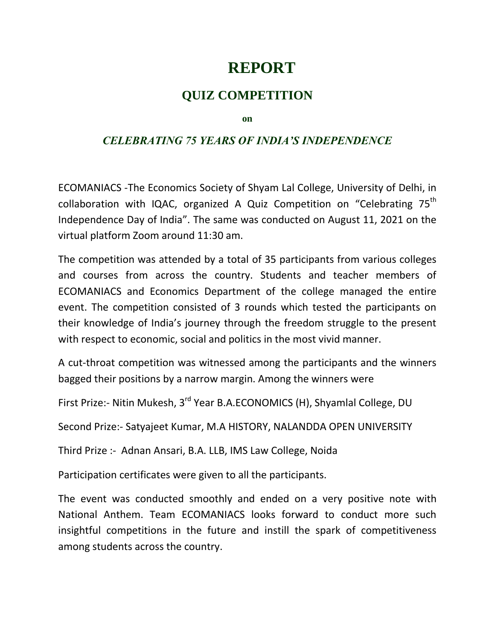## **REPORT**

## **QUIZ COMPETITION**

**on** 

## *CELEBRATING 75 YEARS OF INDIA'S INDEPENDENCE*

ECOMANIACS -The Economics Society of Shyam Lal College, University of Delhi, in collaboration with IQAC, organized A Quiz Competition on "Celebrating 75<sup>th</sup> Independence Day of India". The same was conducted on August 11, 2021 on the virtual platform Zoom around 11:30 am.

The competition was attended by a total of 35 participants from various colleges and courses from across the country. Students and teacher members of ECOMANIACS and Economics Department of the college managed the entire event. The competition consisted of 3 rounds which tested the participants on their knowledge of India's journey through the freedom struggle to the present with respect to economic, social and politics in the most vivid manner.

A cut-throat competition was witnessed among the participants and the winners bagged their positions by a narrow margin. Among the winners were

First Prize:- Nitin Mukesh, 3<sup>rd</sup> Year B.A.ECONOMICS (H), Shyamlal College, DU

Second Prize:- Satyajeet Kumar, M.A HISTORY, NALANDDA OPEN UNIVERSITY

Third Prize :- Adnan Ansari, B.A. LLB, IMS Law College, Noida

Participation certificates were given to all the participants.

The event was conducted smoothly and ended on a very positive note with National Anthem. Team ECOMANIACS looks forward to conduct more such insightful competitions in the future and instill the spark of competitiveness among students across the country.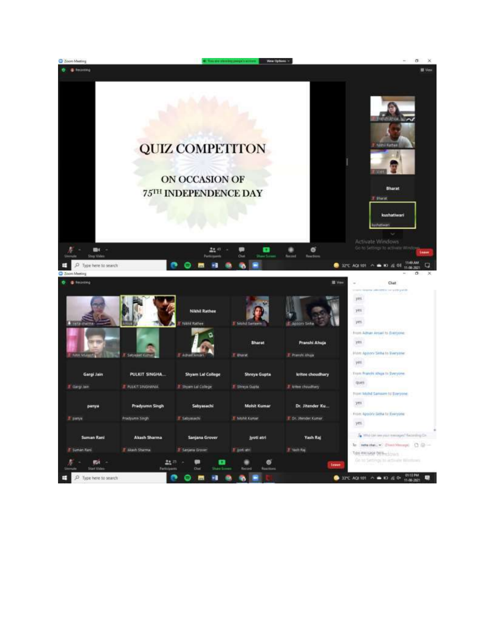